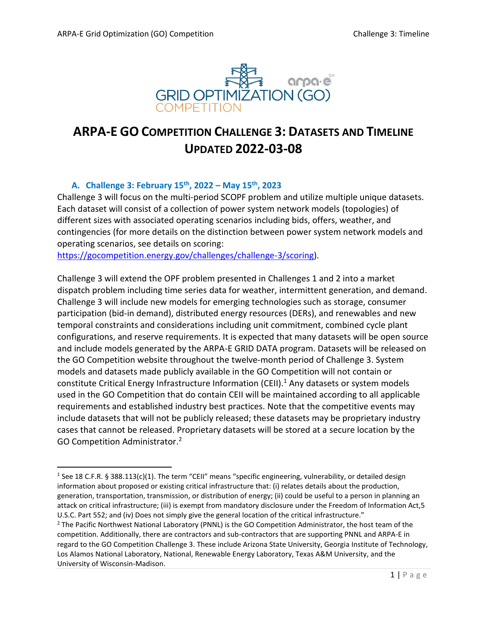

# **ARPA-E GO COMPETITION CHALLENGE 3: DATASETS AND TIMELINE UPDATED 2022-03-08**

## **A. Challenge 3: February 15th , 2022 – May 15th , 2023**

Challenge 3 will focus on the multi-period SCOPF problem and utilize multiple unique datasets. Each dataset will consist of a collection of power system network models (topologies) of different sizes with associated operating scenarios including bids, offers, weather, and contingencies (for more details on the distinction between power system network models and operating scenarios, see details on scoring:

[https://gocompetition.energy.gov/challenges/challenge-3/scoring\)](https://gocompetition.energy.gov/challenges/challenge-3/scoring).

Challenge 3 will extend the OPF problem presented in Challenges 1 and 2 into a market dispatch problem including time series data for weather, intermittent generation, and demand. Challenge 3 will include new models for emerging technologies such as storage, consumer participation (bid-in demand), distributed energy resources (DERs), and renewables and new temporal constraints and considerations including unit commitment, combined cycle plant configurations, and reserve requirements. It is expected that many datasets will be open source and include models generated by the ARPA-E GRID DATA program. Datasets will be released on the GO Competition website throughout the twelve-month period of Challenge 3. System models and datasets made publicly available in the GO Competition will not contain or constitute Critical Energy Infrastructure Information (CEII).<sup>1</sup> Any datasets or system models used in the GO Competition that do contain CEII will be maintained according to all applicable requirements and established industry best practices. Note that the competitive events may include datasets that will not be publicly released; these datasets may be proprietary industry cases that cannot be released. Proprietary datasets will be stored at a secure location by the GO Competition Administrator. 2

<sup>&</sup>lt;sup>1</sup> See 18 C.F.R. § 388.113(c)(1). The term "CEII" means "specific engineering, vulnerability, or detailed design information about proposed or existing critical infrastructure that: (i) relates details about the production, generation, transportation, transmission, or distribution of energy; (ii) could be useful to a person in planning an attack on critical infrastructure; (iii) is exempt from mandatory disclosure under the Freedom of Information Act,5 U.S.C. Part 552; and (iv) Does not simply give the general location of the critical infrastructure."

<sup>&</sup>lt;sup>2</sup> The Pacific Northwest National Laboratory (PNNL) is the GO Competition Administrator, the host team of the competition. Additionally, there are contractors and sub-contractors that are supporting PNNL and ARPA-E in regard to the GO Competition Challenge 3. These include Arizona State University, Georgia Institute of Technology, Los Alamos National Laboratory, National, Renewable Energy Laboratory, Texas A&M University, and the University of Wisconsin-Madison.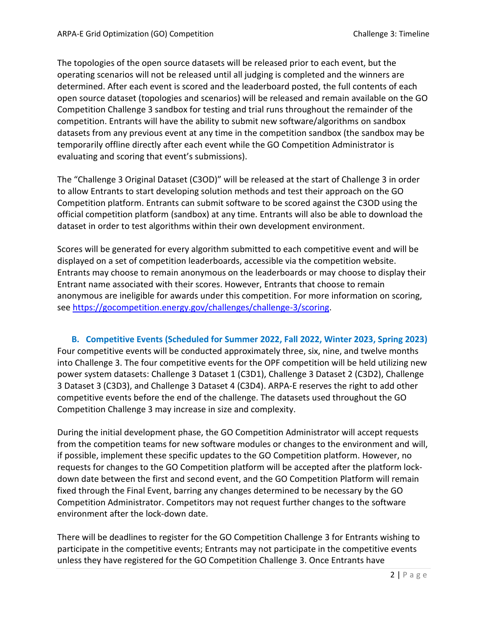The topologies of the open source datasets will be released prior to each event, but the operating scenarios will not be released until all judging is completed and the winners are determined. After each event is scored and the leaderboard posted, the full contents of each open source dataset (topologies and scenarios) will be released and remain available on the GO Competition Challenge 3 sandbox for testing and trial runs throughout the remainder of the competition. Entrants will have the ability to submit new software/algorithms on sandbox datasets from any previous event at any time in the competition sandbox (the sandbox may be temporarily offline directly after each event while the GO Competition Administrator is evaluating and scoring that event's submissions).

The "Challenge 3 Original Dataset (C3OD)" will be released at the start of Challenge 3 in order to allow Entrants to start developing solution methods and test their approach on the GO Competition platform. Entrants can submit software to be scored against the C3OD using the official competition platform (sandbox) at any time. Entrants will also be able to download the dataset in order to test algorithms within their own development environment.

Scores will be generated for every algorithm submitted to each competitive event and will be displayed on a set of competition leaderboards, accessible via the competition website. Entrants may choose to remain anonymous on the leaderboards or may choose to display their Entrant name associated with their scores. However, Entrants that choose to remain anonymous are ineligible for awards under this competition. For more information on scoring, see [https://gocompetition.energy.gov/challenges/challenge-3/scoring.](https://gocompetition.energy.gov/challenges/challenge-3/scoring)

**B. Competitive Events (Scheduled for Summer 2022, Fall 2022, Winter 2023, Spring 2023)** Four competitive events will be conducted approximately three, six, nine, and twelve months into Challenge 3. The four competitive events for the OPF competition will be held utilizing new power system datasets: Challenge 3 Dataset 1 (C3D1), Challenge 3 Dataset 2 (C3D2), Challenge 3 Dataset 3 (C3D3), and Challenge 3 Dataset 4 (C3D4). ARPA-E reserves the right to add other competitive events before the end of the challenge. The datasets used throughout the GO Competition Challenge 3 may increase in size and complexity.

During the initial development phase, the GO Competition Administrator will accept requests from the competition teams for new software modules or changes to the environment and will, if possible, implement these specific updates to the GO Competition platform. However, no requests for changes to the GO Competition platform will be accepted after the platform lockdown date between the first and second event, and the GO Competition Platform will remain fixed through the Final Event, barring any changes determined to be necessary by the GO Competition Administrator. Competitors may not request further changes to the software environment after the lock-down date.

There will be deadlines to register for the GO Competition Challenge 3 for Entrants wishing to participate in the competitive events; Entrants may not participate in the competitive events unless they have registered for the GO Competition Challenge 3. Once Entrants have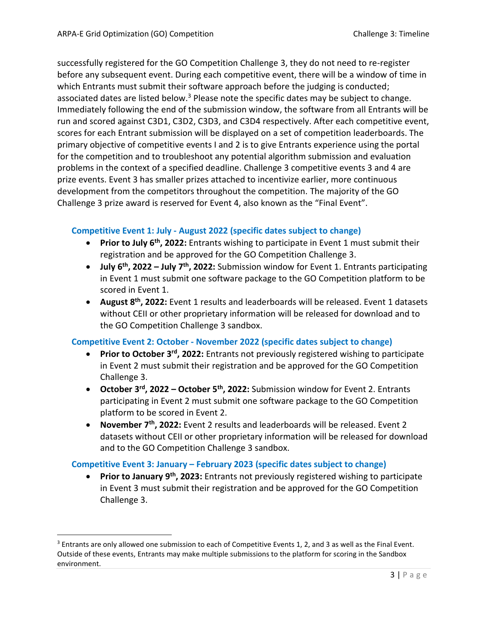successfully registered for the GO Competition Challenge 3, they do not need to re-register before any subsequent event. During each competitive event, there will be a window of time in which Entrants must submit their software approach before the judging is conducted; associated dates are listed below.<sup>3</sup> Please note the specific dates may be subject to change. Immediately following the end of the submission window, the software from all Entrants will be run and scored against C3D1, C3D2, C3D3, and C3D4 respectively. After each competitive event, scores for each Entrant submission will be displayed on a set of competition leaderboards. The primary objective of competitive events I and 2 is to give Entrants experience using the portal for the competition and to troubleshoot any potential algorithm submission and evaluation problems in the context of a specified deadline. Challenge 3 competitive events 3 and 4 are prize events. Event 3 has smaller prizes attached to incentivize earlier, more continuous development from the competitors throughout the competition. The majority of the GO Challenge 3 prize award is reserved for Event 4, also known as the "Final Event".

### **Competitive Event 1: July - August 2022 (specific dates subject to change)**

- **Prior to July 6<sup>th</sup>, 2022:** Entrants wishing to participate in Event 1 must submit their registration and be approved for the GO Competition Challenge 3.
- **July 6 th , 2022 – July 7 th , 2022:** Submission window for Event 1. Entrants participating in Event 1 must submit one software package to the GO Competition platform to be scored in Event 1.
- **August 8<sup>th</sup>, 2022:** Event 1 results and leaderboards will be released. Event 1 datasets without CEII or other proprietary information will be released for download and to the GO Competition Challenge 3 sandbox.

#### **Competitive Event 2: October - November 2022 (specific dates subject to change)**

- **Prior to October 3<sup>rd</sup>, 2022:** Entrants not previously registered wishing to participate in Event 2 must submit their registration and be approved for the GO Competition Challenge 3.
- **October 3 rd , 2022 – October 5 th , 2022:** Submission window for Event 2. Entrants participating in Event 2 must submit one software package to the GO Competition platform to be scored in Event 2.
- **November 7 th , 2022:** Event 2 results and leaderboards will be released. Event 2 datasets without CEII or other proprietary information will be released for download and to the GO Competition Challenge 3 sandbox.

## **Competitive Event 3: January – February 2023 (specific dates subject to change)**

**• Prior to January 9<sup>th</sup>, 2023:** Entrants not previously registered wishing to participate in Event 3 must submit their registration and be approved for the GO Competition Challenge 3.

<sup>&</sup>lt;sup>3</sup> Entrants are only allowed one submission to each of Competitive Events 1, 2, and 3 as well as the Final Event. Outside of these events, Entrants may make multiple submissions to the platform for scoring in the Sandbox environment.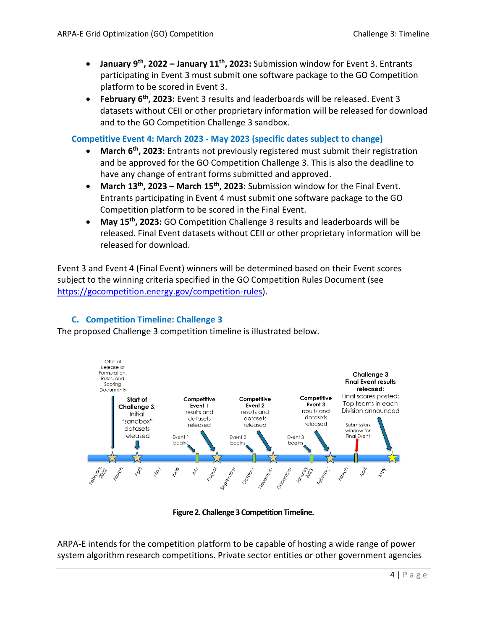- **January 9 th, 2022 – January 11th, 2023:** Submission window for Event 3. Entrants participating in Event 3 must submit one software package to the GO Competition platform to be scored in Event 3.
- **February 6<sup>th</sup>, 2023:** Event 3 results and leaderboards will be released. Event 3 datasets without CEII or other proprietary information will be released for download and to the GO Competition Challenge 3 sandbox.

#### **Competitive Event 4: March 2023 - May 2023 (specific dates subject to change)**

- **March 6<sup>th</sup>, 2023:** Entrants not previously registered must submit their registration and be approved for the GO Competition Challenge 3. This is also the deadline to have any change of entrant forms submitted and approved.
- **March 13th , 2023 – March 15th , 2023:** Submission window for the Final Event. Entrants participating in Event 4 must submit one software package to the GO Competition platform to be scored in the Final Event.
- **May 15th , 2023:** GO Competition Challenge 3 results and leaderboards will be released. Final Event datasets without CEII or other proprietary information will be released for download.

Event 3 and Event 4 (Final Event) winners will be determined based on their Event scores subject to the winning criteria specified in the GO Competition Rules Document (see [https://gocompetition.energy.gov/competition-rules\)](https://gocompetition.energy.gov/competition-rules).

## **C. Competition Timeline: Challenge 3**

The proposed Challenge 3 competition timeline is illustrated below.



**Figure 2. Challenge 3 Competition Timeline.**

ARPA-E intends for the competition platform to be capable of hosting a wide range of power system algorithm research competitions. Private sector entities or other government agencies